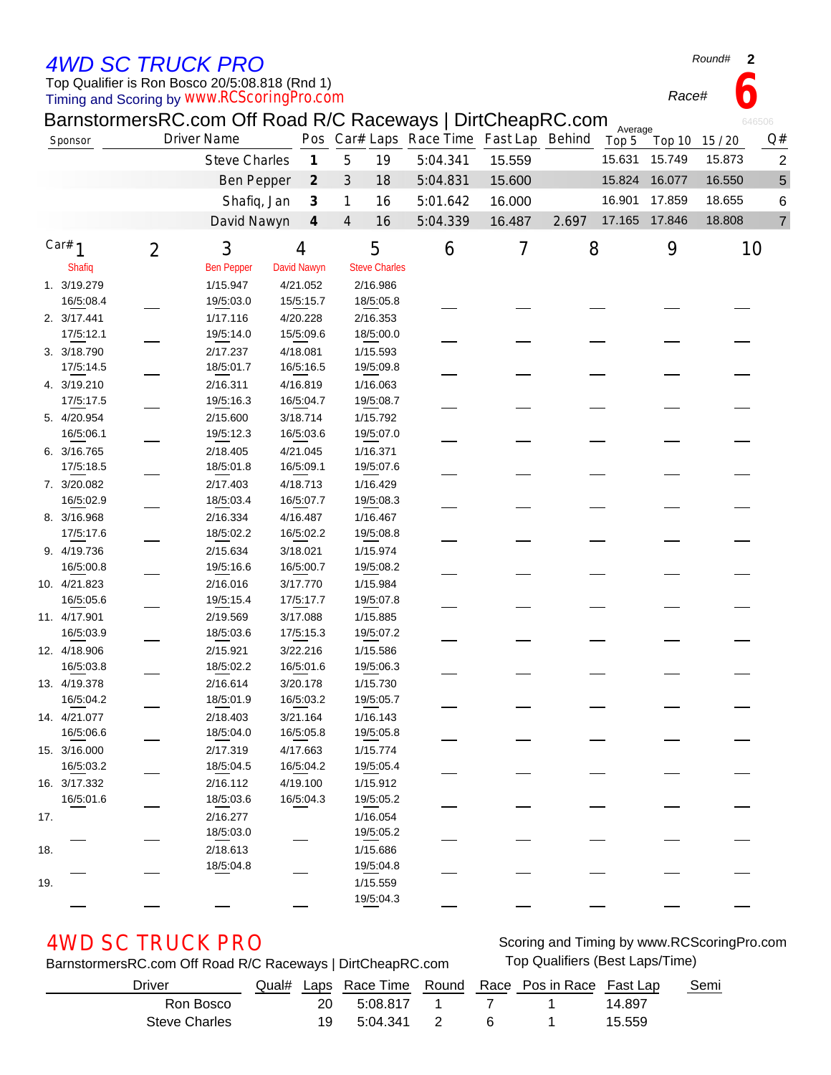## *4WD SC TRUCK PRO*

Timing and Scoring by Top Qualifier is Ron Bosco 20/5:08.818 (Rnd 1) *www.RCScoringPro.com*

| Round# |  |
|--------|--|
|--------|--|

*Race#* **6**

|          |              |                | BarnstormersRC.com Off Road R/C Raceways   DirtCheapRC.com |                             |                                  |                      |                                         |        |       | Average |        |        | 646506         |
|----------|--------------|----------------|------------------------------------------------------------|-----------------------------|----------------------------------|----------------------|-----------------------------------------|--------|-------|---------|--------|--------|----------------|
|          | Sponsor      |                | <b>Driver Name</b>                                         |                             |                                  |                      | Pos Car# Laps Race Time Fast Lap Behind |        |       | Top 5   | Top 10 | 15/20  | Q#             |
|          |              |                | <b>Steve Charles</b>                                       |                             | 5<br>$\boldsymbol{\mathcal{I}}$  | 19                   | 5:04.341                                | 15.559 |       | 15.631  | 15.749 | 15.873 | 2              |
|          |              |                | <b>Ben Pepper</b>                                          | $\mathcal{Z}_{\mathcal{C}}$ | 3                                | 18                   | 5:04.831                                | 15.600 |       | 15.824  | 16.077 | 16.550 | $\sqrt{5}$     |
|          |              |                | Shafiq, Jan                                                |                             | $\mathcal{J}_{\mathcal{S}}$<br>1 | 16                   | 5:01.642                                | 16.000 |       | 16.901  | 17.859 | 18.655 | 6              |
|          |              |                | David Nawyn                                                | $\boldsymbol{4}$            | $\overline{4}$                   | 16                   | 5:04.339                                | 16.487 | 2.697 | 17.165  | 17.846 | 18.808 | $\overline{7}$ |
|          |              |                |                                                            |                             |                                  |                      |                                         |        |       |         |        |        |                |
| Car# $1$ |              | $\overline{2}$ | 3                                                          | 4                           |                                  | 5                    | 6                                       | 7      | 8     |         | 9      |        | 10             |
|          | Shafiq       |                | <b>Ben Pepper</b>                                          | David Nawyn                 |                                  | <b>Steve Charles</b> |                                         |        |       |         |        |        |                |
|          | 1. 3/19.279  |                | 1/15.947                                                   | 4/21.052                    |                                  | 2/16.986             |                                         |        |       |         |        |        |                |
|          | 16/5:08.4    |                | 19/5:03.0                                                  | 15/5:15.7                   |                                  | 18/5:05.8            |                                         |        |       |         |        |        |                |
|          | 2. 3/17.441  |                | 1/17.116                                                   | 4/20.228                    |                                  | 2/16.353             |                                         |        |       |         |        |        |                |
|          | 17/5:12.1    |                | 19/5:14.0                                                  | 15/5:09.6                   |                                  | 18/5:00.0            |                                         |        |       |         |        |        |                |
|          | 3. 3/18.790  |                | 2/17.237                                                   | 4/18.081                    |                                  | 1/15.593             |                                         |        |       |         |        |        |                |
|          | 17/5:14.5    |                | 18/5:01.7                                                  | 16/5:16.5                   |                                  | 19/5:09.8            |                                         |        |       |         |        |        |                |
|          | 4. 3/19.210  |                | 2/16.311                                                   | 4/16.819                    |                                  | 1/16.063             |                                         |        |       |         |        |        |                |
|          | 17/5:17.5    |                | 19/5:16.3                                                  | 16/5:04.7                   |                                  | 19/5:08.7            |                                         |        |       |         |        |        |                |
|          | 5. 4/20.954  |                | 2/15.600                                                   | 3/18.714                    |                                  | 1/15.792             |                                         |        |       |         |        |        |                |
|          | 16/5:06.1    |                | 19/5:12.3                                                  | 16/5:03.6                   |                                  | 19/5:07.0            |                                         |        |       |         |        |        |                |
|          | 6. 3/16.765  |                | 2/18.405                                                   | 4/21.045                    |                                  | 1/16.371             |                                         |        |       |         |        |        |                |
|          | 17/5:18.5    |                | 18/5:01.8                                                  | 16/5:09.1                   |                                  | 19/5:07.6            |                                         |        |       |         |        |        |                |
|          | 7. 3/20.082  |                | 2/17.403                                                   | 4/18.713                    |                                  | 1/16.429             |                                         |        |       |         |        |        |                |
|          | 16/5:02.9    |                | 18/5:03.4                                                  | 16/5:07.7                   |                                  | 19/5:08.3            |                                         |        |       |         |        |        |                |
|          | 8. 3/16.968  |                | 2/16.334                                                   | 4/16.487                    |                                  | 1/16.467             |                                         |        |       |         |        |        |                |
|          | 17/5:17.6    |                | 18/5:02.2                                                  | 16/5:02.2                   |                                  | 19/5:08.8            |                                         |        |       |         |        |        |                |
|          | 9. 4/19.736  |                | 2/15.634                                                   | 3/18.021                    |                                  | 1/15.974             |                                         |        |       |         |        |        |                |
|          | 16/5:00.8    |                | 19/5:16.6                                                  | 16/5:00.7                   |                                  | 19/5:08.2            |                                         |        |       |         |        |        |                |
|          | 10. 4/21.823 |                | 2/16.016                                                   | 3/17.770                    |                                  | 1/15.984             |                                         |        |       |         |        |        |                |
|          | 16/5:05.6    |                | 19/5:15.4                                                  | 17/5:17.7                   |                                  | 19/5:07.8            |                                         |        |       |         |        |        |                |
|          | 11. 4/17.901 |                | 2/19.569                                                   | 3/17.088                    |                                  | 1/15.885             |                                         |        |       |         |        |        |                |
|          | 16/5:03.9    |                | 18/5:03.6                                                  | 17/5:15.3                   |                                  | 19/5:07.2            |                                         |        |       |         |        |        |                |
|          | 12. 4/18.906 |                | 2/15.921                                                   | 3/22.216                    |                                  | 1/15.586             |                                         |        |       |         |        |        |                |
|          | 16/5:03.8    |                | 18/5:02.2                                                  | 16/5:01.6                   |                                  | 19/5:06.3            |                                         |        |       |         |        |        |                |
|          | 13. 4/19.378 |                | 2/16.614                                                   | 3/20.178                    |                                  | 1/15.730             |                                         |        |       |         |        |        |                |
|          | 16/5:04.2    |                | 18/5:01.9                                                  | 16/5:03.2                   |                                  | 19/5:05.7            |                                         |        |       |         |        |        |                |
|          | 14. 4/21.077 |                | 2/18.403                                                   | 3/21.164                    |                                  | 1/16.143             |                                         |        |       |         |        |        |                |
|          | 16/5:06.6    |                | 18/5:04.0                                                  | 16/5:05.8                   |                                  | 19/5:05.8            |                                         |        |       |         |        |        |                |
|          | 15. 3/16.000 |                | 2/17.319                                                   | 4/17.663                    |                                  | 1/15.774             |                                         |        |       |         |        |        |                |
|          | 16/5:03.2    |                | 18/5:04.5                                                  | 16/5:04.2                   |                                  | 19/5:05.4            |                                         |        |       |         |        |        |                |
|          | 16. 3/17.332 |                | 2/16.112                                                   | 4/19.100                    |                                  | 1/15.912             |                                         |        |       |         |        |        |                |
|          | 16/5:01.6    |                | 18/5:03.6                                                  | 16/5:04.3                   |                                  | 19/5:05.2            |                                         |        |       |         |        |        |                |
| 17.      |              |                | 2/16.277                                                   |                             |                                  | 1/16.054             |                                         |        |       |         |        |        |                |
|          |              |                | 18/5:03.0                                                  |                             |                                  | 19/5:05.2            |                                         |        |       |         |        |        |                |
| 18.      |              |                | 2/18.613                                                   |                             |                                  | 1/15.686             |                                         |        |       |         |        |        |                |
|          |              |                | 18/5:04.8                                                  |                             |                                  | 19/5:04.8            |                                         |        |       |         |        |        |                |
| 19.      |              |                |                                                            |                             |                                  | 1/15.559             |                                         |        |       |         |        |        |                |
|          |              |                |                                                            |                             |                                  | 19/5:04.3            |                                         |        |       |         |        |        |                |

BarnstormersRC.com Off Road R/C Raceways | DirtCheapRC.com Top Qualifiers (Best Laps/Time)

AWD SC TRUCK PRO Scoring and Timing by www.RCScoringPro.com

| Driver        |           |          |  | Qual# Laps Race Time Round Race Pos in Race Fast Lap |        | Semi |
|---------------|-----------|----------|--|------------------------------------------------------|--------|------|
| Ron Bosco     | <b>20</b> | 5:08 817 |  |                                                      | 14.897 |      |
| Steve Charles | 19        | 5:04.341 |  |                                                      | 15.559 |      |